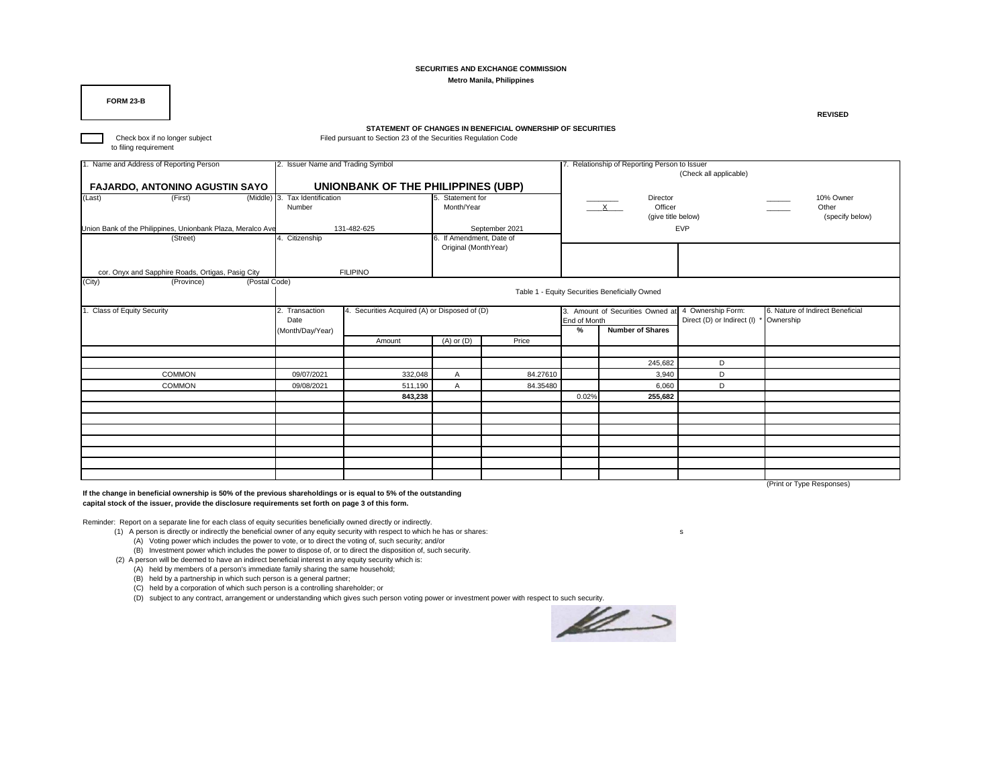#### **SECURITIES AND EXCHANGE COMMISSION**

**Metro Manila, Philippines**

**FORM 23-B**

**REVISED**

#### **STATEMENT OF CHANGES IN BENEFICIAL OWNERSHIP OF SECURITIES**

Check box if no longer subject Filed pursuant to Section 23 of the Securities Regulation Code to filing requirement

| 1. Name and Address of Reporting Person                                          |                                            | 2. Issuer Name and Trading Symbol  |                                               |                                                     |       | 7. Relationship of Reporting Person to Issuer                                          |                            |                                               |  |  |  |  |
|----------------------------------------------------------------------------------|--------------------------------------------|------------------------------------|-----------------------------------------------|-----------------------------------------------------|-------|----------------------------------------------------------------------------------------|----------------------------|-----------------------------------------------|--|--|--|--|
| <b>FAJARDO, ANTONINO AGUSTIN SAYO</b>                                            |                                            | UNIONBANK OF THE PHILIPPINES (UBP) |                                               |                                                     |       |                                                                                        | (Check all applicable)     |                                               |  |  |  |  |
| (First)<br>(Last)<br>Union Bank of the Philippines, Unionbank Plaza, Meralco Ave | (Middle) 3.<br>Number                      | Tax Identification<br>131-482-625  |                                               | 5. Statement for<br>Month/Year<br>September 2021    |       | Director<br>$\frac{X}{1}$<br>Officer<br>(give title below)                             | <b>EVP</b>                 | 10% Owner<br>Other<br>(specify below)         |  |  |  |  |
| (Street)                                                                         |                                            | 4. Citizenship                     |                                               | If Amendment, Date of<br>6.<br>Original (MonthYear) |       |                                                                                        |                            |                                               |  |  |  |  |
| cor. Onyx and Sapphire Roads, Ortigas, Pasig City                                |                                            | <b>FILIPINO</b>                    |                                               |                                                     |       |                                                                                        |                            |                                               |  |  |  |  |
| (Province)<br>(City)                                                             | (Postal Code)                              |                                    |                                               |                                                     |       | Table 1 - Equity Securities Beneficially Owned                                         |                            |                                               |  |  |  |  |
| 1. Class of Equity Security                                                      | 2. Transaction<br>Date<br>(Month/Day/Year) |                                    | 4. Securities Acquired (A) or Disposed of (D) |                                                     |       | 3. Amount of Securities Owned at 4 Ownership Form:<br>End of Month<br>Number of Shares | Direct (D) or Indirect (I) | 6. Nature of Indirect Beneficial<br>Ownership |  |  |  |  |
|                                                                                  |                                            | Amount                             | $(A)$ or $(D)$                                | Price                                               |       |                                                                                        |                            |                                               |  |  |  |  |
|                                                                                  |                                            |                                    |                                               |                                                     |       |                                                                                        |                            |                                               |  |  |  |  |
|                                                                                  |                                            |                                    |                                               |                                                     |       | 245,682                                                                                | D                          |                                               |  |  |  |  |
| <b>COMMON</b>                                                                    | 09/07/2021                                 |                                    | 332,048<br>A                                  | 84.27610                                            |       | 3,940                                                                                  | D                          |                                               |  |  |  |  |
| <b>COMMON</b>                                                                    | 09/08/2021                                 |                                    | 511,190<br>A<br>843,238                       | 84.35480                                            | 0.02% | 6,060<br>255,682                                                                       | D                          |                                               |  |  |  |  |
|                                                                                  |                                            |                                    |                                               |                                                     |       |                                                                                        |                            |                                               |  |  |  |  |
|                                                                                  |                                            |                                    |                                               |                                                     |       |                                                                                        |                            |                                               |  |  |  |  |
|                                                                                  |                                            |                                    |                                               |                                                     |       |                                                                                        |                            |                                               |  |  |  |  |
|                                                                                  |                                            |                                    |                                               |                                                     |       |                                                                                        |                            |                                               |  |  |  |  |
|                                                                                  |                                            |                                    |                                               |                                                     |       |                                                                                        |                            |                                               |  |  |  |  |
|                                                                                  |                                            |                                    |                                               |                                                     |       |                                                                                        |                            |                                               |  |  |  |  |
|                                                                                  |                                            |                                    |                                               |                                                     |       |                                                                                        |                            |                                               |  |  |  |  |

(Print or Type Responses)

**If the change in beneficial ownership is 50% of the previous shareholdings or is equal to 5% of the outstanding capital stock of the issuer, provide the disclosure requirements set forth on page 3 of this form.**

Reminder: Report on a separate line for each class of equity securities beneficially owned directly or indirectly.

(1) A person is directly or indirectly the beneficial owner of any equity security with respect to which he has or shares: s

(A) Voting power which includes the power to vote, or to direct the voting of, such security; and/or

(B) Investment power which includes the power to dispose of, or to direct the disposition of, such security.

(2) A person will be deemed to have an indirect beneficial interest in any equity security which is:

(A) held by members of a person's immediate family sharing the same household;

- (B) held by a partnership in which such person is a general partner;
- (C) held by a corporation of which such person is a controlling shareholder; or

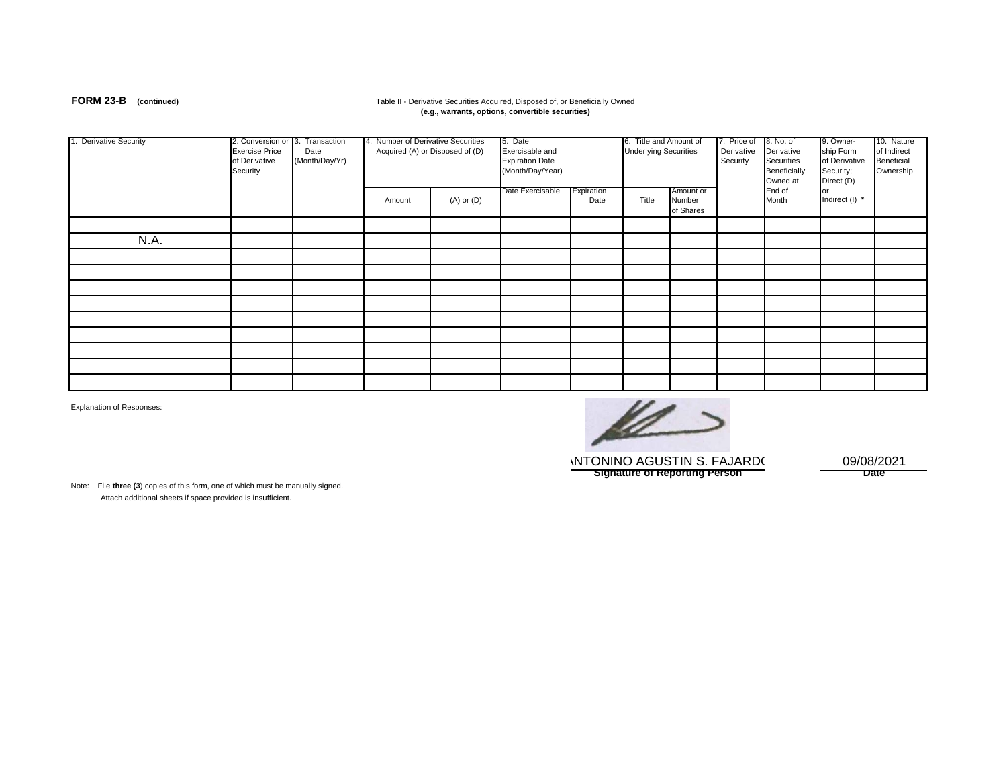#### **FORM 23-B** (continued) **Table II - Derivative Securities Acquired, Disposed of, or Beneficially Owned (e.g., warrants, options, convertible securities)**

| 1. Derivative Security | 2. Conversion or 3. Transaction<br><b>Exercise Price</b><br>Date<br>of Derivative<br>(Month/Day/Yr)<br>Security |  | 4. Number of Derivative Securities<br>Acquired (A) or Disposed of (D) |                | 5. Date<br>Exercisable and<br><b>Expiration Date</b><br>(Month/Day/Year) |                    | 6. Title and Amount of<br><b>Underlying Securities</b> |                                  | 7. Price of<br>Derivative<br>Security | 8. No. of<br>Derivative<br>Securities<br>Beneficially<br>Owned at | 9. Owner-<br>ship Form<br>of Derivative<br>Security;<br>Direct (D) | 10. Nature<br>of Indirect<br>Beneficial<br>Ownership |
|------------------------|-----------------------------------------------------------------------------------------------------------------|--|-----------------------------------------------------------------------|----------------|--------------------------------------------------------------------------|--------------------|--------------------------------------------------------|----------------------------------|---------------------------------------|-------------------------------------------------------------------|--------------------------------------------------------------------|------------------------------------------------------|
|                        |                                                                                                                 |  | Amount                                                                | $(A)$ or $(D)$ | Date Exercisable                                                         | Expiration<br>Date | Title                                                  | Amount or<br>Number<br>of Shares |                                       | End of<br>Month                                                   | Indirect (I) *                                                     |                                                      |
|                        |                                                                                                                 |  |                                                                       |                |                                                                          |                    |                                                        |                                  |                                       |                                                                   |                                                                    |                                                      |
| N.A.                   |                                                                                                                 |  |                                                                       |                |                                                                          |                    |                                                        |                                  |                                       |                                                                   |                                                                    |                                                      |
|                        |                                                                                                                 |  |                                                                       |                |                                                                          |                    |                                                        |                                  |                                       |                                                                   |                                                                    |                                                      |
|                        |                                                                                                                 |  |                                                                       |                |                                                                          |                    |                                                        |                                  |                                       |                                                                   |                                                                    |                                                      |
|                        |                                                                                                                 |  |                                                                       |                |                                                                          |                    |                                                        |                                  |                                       |                                                                   |                                                                    |                                                      |
|                        |                                                                                                                 |  |                                                                       |                |                                                                          |                    |                                                        |                                  |                                       |                                                                   |                                                                    |                                                      |
|                        |                                                                                                                 |  |                                                                       |                |                                                                          |                    |                                                        |                                  |                                       |                                                                   |                                                                    |                                                      |
|                        |                                                                                                                 |  |                                                                       |                |                                                                          |                    |                                                        |                                  |                                       |                                                                   |                                                                    |                                                      |
|                        |                                                                                                                 |  |                                                                       |                |                                                                          |                    |                                                        |                                  |                                       |                                                                   |                                                                    |                                                      |
|                        |                                                                                                                 |  |                                                                       |                |                                                                          |                    |                                                        |                                  |                                       |                                                                   |                                                                    |                                                      |
|                        |                                                                                                                 |  |                                                                       |                |                                                                          |                    |                                                        |                                  |                                       |                                                                   |                                                                    |                                                      |

Explanation of Responses:

Note: File **three (3**) copies of this form, one of which must be manually signed. Attach additional sheets if space provided is insufficient.



**Signature of Reporting Person Date** ANTONINO AGUSTIN S. FAJARDO 09/08/2021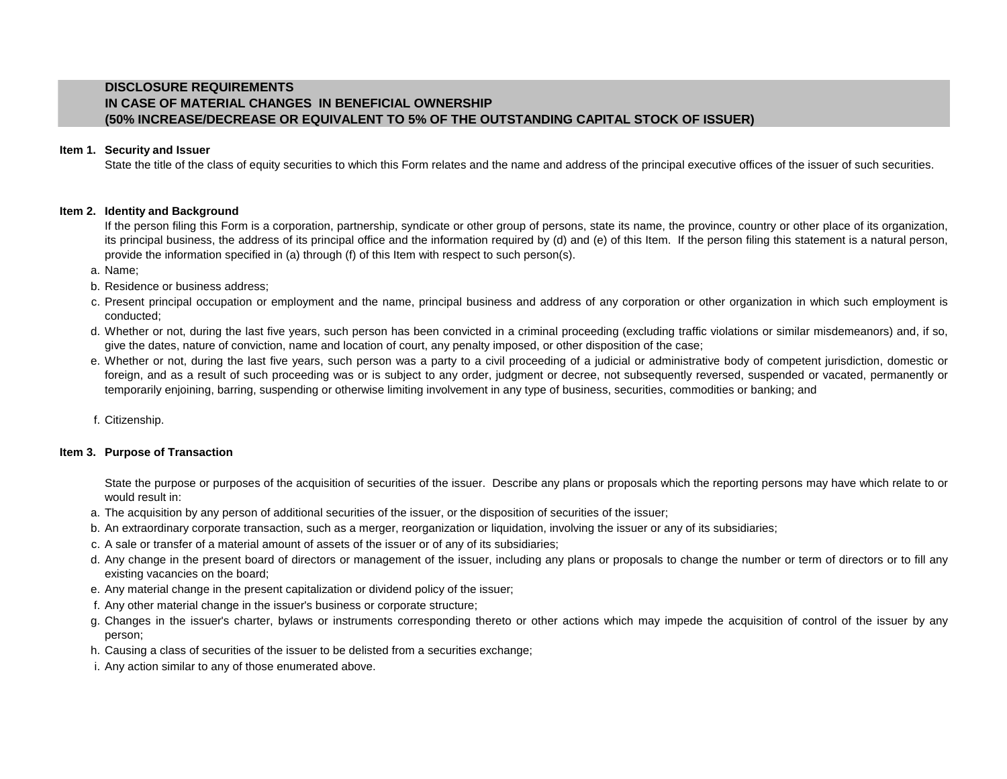# **DISCLOSURE REQUIREMENTS IN CASE OF MATERIAL CHANGES IN BENEFICIAL OWNERSHIP (50% INCREASE/DECREASE OR EQUIVALENT TO 5% OF THE OUTSTANDING CAPITAL STOCK OF ISSUER)**

## **Item 1. Security and Issuer**

State the title of the class of equity securities to which this Form relates and the name and address of the principal executive offices of the issuer of such securities.

## **Item 2. Identity and Background**

If the person filing this Form is a corporation, partnership, syndicate or other group of persons, state its name, the province, country or other place of its organization, its principal business, the address of its principal office and the information required by (d) and (e) of this Item. If the person filing this statement is a natural person, provide the information specified in (a) through (f) of this Item with respect to such person(s).

- a. Name;
- b. Residence or business address;
- c. Present principal occupation or employment and the name, principal business and address of any corporation or other organization in which such employment is conducted;
- d. Whether or not, during the last five years, such person has been convicted in a criminal proceeding (excluding traffic violations or similar misdemeanors) and, if so, give the dates, nature of conviction, name and location of court, any penalty imposed, or other disposition of the case;
- e. Whether or not, during the last five years, such person was a party to a civil proceeding of a judicial or administrative body of competent jurisdiction, domestic or foreign, and as a result of such proceeding was or is subject to any order, judgment or decree, not subsequently reversed, suspended or vacated, permanently or temporarily enjoining, barring, suspending or otherwise limiting involvement in any type of business, securities, commodities or banking; and
- f. Citizenship.

## **Item 3. Purpose of Transaction**

State the purpose or purposes of the acquisition of securities of the issuer. Describe any plans or proposals which the reporting persons may have which relate to or would result in:

- a. The acquisition by any person of additional securities of the issuer, or the disposition of securities of the issuer;
- b. An extraordinary corporate transaction, such as a merger, reorganization or liquidation, involving the issuer or any of its subsidiaries;
- c. A sale or transfer of a material amount of assets of the issuer or of any of its subsidiaries;
- d. Any change in the present board of directors or management of the issuer, including any plans or proposals to change the number or term of directors or to fill any existing vacancies on the board;
- e. Any material change in the present capitalization or dividend policy of the issuer;
- f. Any other material change in the issuer's business or corporate structure;
- g. Changes in the issuer's charter, bylaws or instruments corresponding thereto or other actions which may impede the acquisition of control of the issuer by any person;
- h. Causing a class of securities of the issuer to be delisted from a securities exchange;
- i. Any action similar to any of those enumerated above.